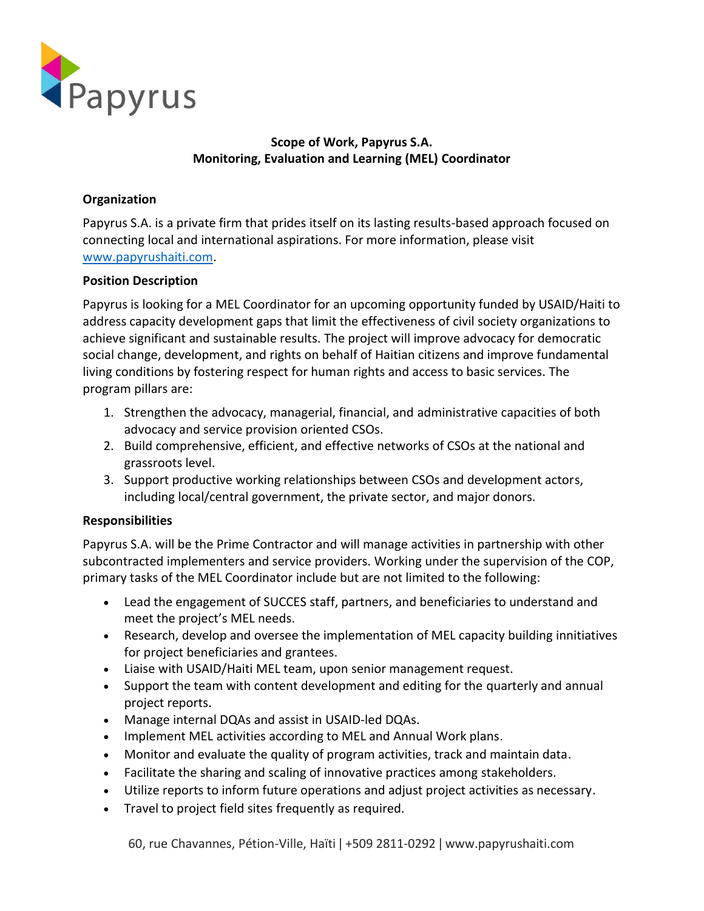

# **Scope of Work, Papyrus S.A. Monitoring, Evaluation and Learning (MEL) Coordinator**

## **Organization**

Papyrus S.A. is a private firm that prides itself on its lasting results-based approach focused on connecting local and international aspirations. For more information, please visit [www.papyrushaiti.com.](http://www.papyrushaiti.com/)

#### **Position Description**

Papyrus is looking for a MEL Coordinator for an upcoming opportunity funded by USAID/Haiti to address capacity development gaps that limit the effectiveness of civil society organizations to achieve significant and sustainable results. The project will improve advocacy for democratic social change, development, and rights on behalf of Haitian citizens and improve fundamental living conditions by fostering respect for human rights and access to basic services. The program pillars are:

- 1. Strengthen the advocacy, managerial, financial, and administrative capacities of both advocacy and service provision oriented CSOs.
- 2. Build comprehensive, efficient, and effective networks of CSOs at the national and grassroots level.
- 3. Support productive working relationships between CSOs and development actors, including local/central government, the private sector, and major donors.

#### **Responsibilities**

Papyrus S.A. will be the Prime Contractor and will manage activities in partnership with other subcontracted implementers and service providers. Working under the supervision of the COP, primary tasks of the MEL Coordinator include but are not limited to the following:

- Lead the engagement of SUCCES staff, partners, and beneficiaries to understand and meet the project's MEL needs.
- Research, develop and oversee the implementation of MEL capacity building innitiatives for project beneficiaries and grantees.
- Liaise with USAID/Haiti MEL team, upon senior management request.
- Support the team with content development and editing for the quarterly and annual project reports.
- Manage internal DQAs and assist in USAID-led DQAs.
- Implement MEL activities according to MEL and Annual Work plans.
- Monitor and evaluate the quality of program activities, track and maintain data.
- Facilitate the sharing and scaling of innovative practices among stakeholders.
- Utilize reports to inform future operations and adjust project activities as necessary.
- Travel to project field sites frequently as required.

60, rue Chavannes, Pétion-Ville, Haïti ǀ +509 2811-0292 ǀ www.papyrushaiti.com